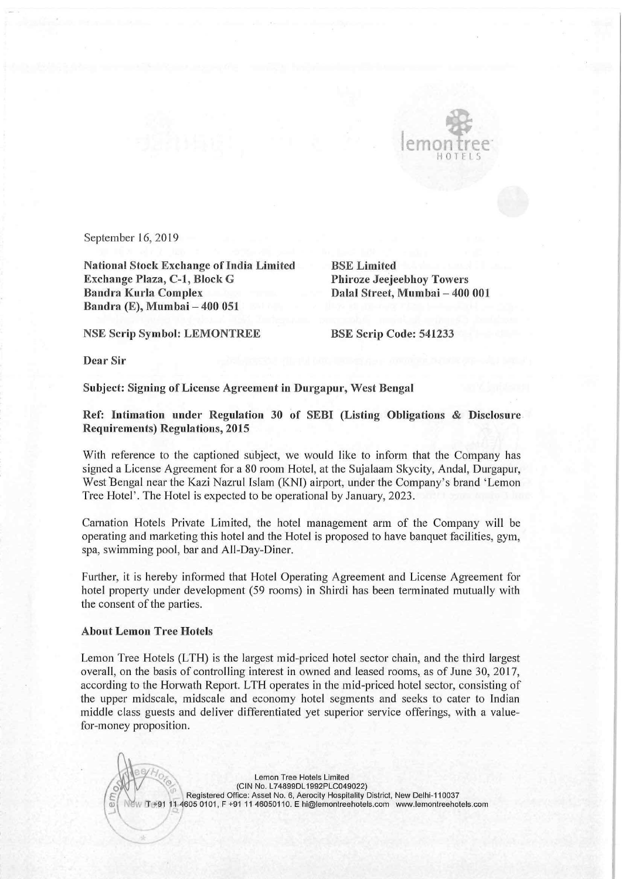

September 16, 2019

National Stock Exchange ofIndia Limited BSE Limited Exchange Plaza, C-1, Block G Bandra Kurla Complex Bandra (E), Mumbai — 400 051

Dalal Street, Mumbai - 400 001

NSE Scrip Symbol: LEMONTREE BSE Scrip Code: 541233

Dear Sir

## Subject: Signing of License Agreement in Durgapur, West Bengal

Ref: Intimation under Regulation <sup>30</sup> of SEBI (Listing Obligations & Disclosure Requirements) Regulations, 2015

With reference to the captioned subject, we would like to inform that the Company has signed <sup>a</sup> License Agreement for <sup>a</sup> <sup>80</sup> room Hotel, at the Sujalaam Skycity, Andal, Durgapur, West Bengal near the Kazi Nazrul Islam (KNI) airport, under the Company's brand 'Lemon Tree Hotel'. The Hotel is expected to be operational by January, 2023.

Carnation Hotels Private Limited, the hotel management arm of the Company will be operating and marketing this hotel and the Hotel is proposed to have banquet facilities, gym, spa, swimming pool, bar and All-Day—Diner.

Further, it is hereby informed that Hotel Operating Agreement and License Agreement for hotel property under development (59 rooms) in Shirdi has been terminated mutually with the consent of the parties.

## About Lemon Tree Hotels

;  $\mathcal{O}(\mathcal{N})$ 

,' f I

Lemon Tree Hotels (LTH) is the largest mid-priced hotel sector chain, and the third largest overall, on the basis of controlling interest in owned and leased rooms, as of June 30, 2017, according to the Horwath Report. LTH operates in the mid-priced hotel sector, consisting of the upper midscale, midscale and economy hotel segments and seeks to cater to Indian middle class guests and deliver differentiated yet superior service offerings, with <sup>a</sup> valuefor—money proposition.

 $\mathbb W$ Lemon Tree Hotels Limited  $\sqrt{2}$ (CIN No. L74899DL1992PLC049022)<br>Registered Office: Asset No. 6, Aerocity Hospitality District, New Delhi-110037 Registered Office: Asset No. 6, Aerocity Hospitality District, New Delhi-110037<br>T +91 11 4605 0101, F +91 11 46050110. E hi@lemontreehotels.com www.lemontreehotels.com{